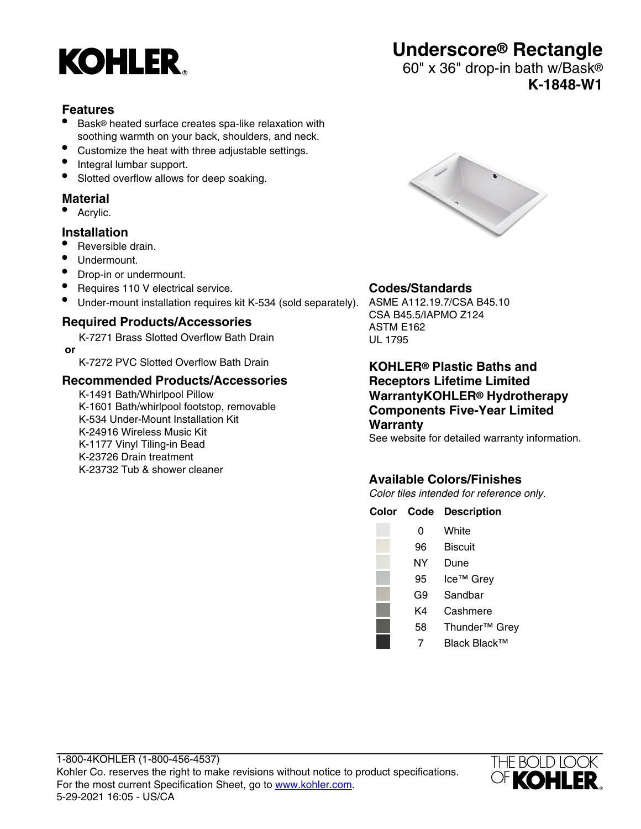# **KOHLER**

## **Underscore® Rectangle**

60" x 36" drop-in bath w/Bask® **K-1848-W1**

#### **Features**

- Bask® heated surface creates spa-like relaxation with soothing warmth on your back, shoulders, and neck.
- Customize the heat with three adjustable settings.
- Integral lumbar support.
- Slotted overflow allows for deep soaking.

#### **Material**

• Acrylic.

#### **Installation**

- Reversible drain.
- Undermount.
- Drop-in or undermount.
- Requires 110 V electrical service.
- Under-mount installation requires kit K-534 (sold separately). ASME A112.19.7/CSA B45.10

#### **Required Products/Accessories**

K-7271 Brass Slotted Overflow Bath Drain  **or**

K-7272 PVC Slotted Overflow Bath Drain

#### **Recommended Products/Accessories**

K-1491 Bath/Whirlpool Pillow K-1601 Bath/whirlpool footstop, removable K-534 Under-Mount Installation Kit K-24916 Wireless Music Kit K-1177 Vinyl Tiling-in Bead K-23726 Drain treatment K-23732 Tub & shower cleaner



#### **Codes/Standards**

CSA B45.5/IAPMO Z124 ASTM E162 UL 1795

#### **KOHLER® Plastic Baths and Receptors Lifetime Limited WarrantyKOHLER® Hydrotherapy Components Five-Year Limited Warranty**

See website for detailed warranty information.

### **Available Colors/Finishes**

Color tiles intended for reference only.

| Color | Code | <b>Description</b>        |
|-------|------|---------------------------|
|       | 0    | White                     |
|       | 96   | Biscuit                   |
|       | NΥ   | Dune                      |
|       | 95   | Ice <sup>™</sup> Grey     |
|       | G9   | Sandbar                   |
|       | K4   | Cashmere                  |
|       | 58   | Thunder <sup>™</sup> Grey |
|       | 7    | Black Black™              |
|       |      |                           |